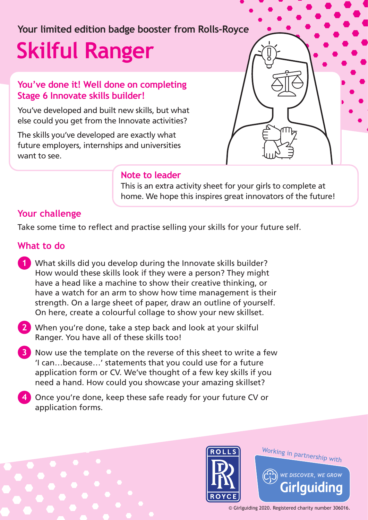# **Your limited edition badge booster from Rolls-Royce Skilful Ranger**

### **You've done it! Well done on completing Stage 6 Innovate skills builder!**

You've developed and built new skills, but what else could you get from the Innovate activities?

The skills you've developed are exactly what future employers, internships and universities want to see.



#### **Note to leader**

This is an extra activity sheet for your girls to complete at home. We hope this inspires great innovators of the future!

## **Your challenge**

Take some time to reflect and practise selling your skills for your future self.

#### **What to do**

- **1** What skills did you develop during the Innovate skills builder? How would these skills look if they were a person? They might have a head like a machine to show their creative thinking, or have a watch for an arm to show how time management is their strength. On a large sheet of paper, draw an outline of yourself. On here, create a colourful collage to show your new skillset.
- **2** When you're done, take a step back and look at your skilful Ranger. You have all of these skills too!
- **3** Now use the template on the reverse of this sheet to write a few 'I can…because…' statements that you could use for a future application form or CV. We've thought of a few key skills if you need a hand. How could you showcase your amazing skillset?
- **4** Once you're done, keep these safe ready for your future CV or application forms.